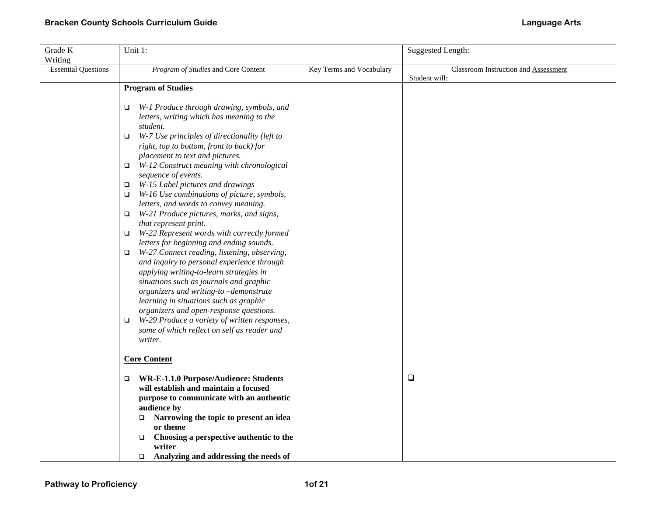| Grade K                    | Unit 1:                                                                                          |                          | <b>Suggested Length:</b>             |
|----------------------------|--------------------------------------------------------------------------------------------------|--------------------------|--------------------------------------|
| Writing                    |                                                                                                  |                          |                                      |
| <b>Essential Questions</b> | Program of Studies and Core Content                                                              | Key Terms and Vocabulary | Classroom Instruction and Assessment |
|                            |                                                                                                  |                          | Student will:                        |
|                            | <b>Program of Studies</b>                                                                        |                          |                                      |
|                            | W-1 Produce through drawing, symbols, and<br>□                                                   |                          |                                      |
|                            | letters, writing which has meaning to the                                                        |                          |                                      |
|                            | student.                                                                                         |                          |                                      |
|                            | W-7 Use principles of directionality (left to<br>□                                               |                          |                                      |
|                            | right, top to bottom, front to back) for                                                         |                          |                                      |
|                            | placement to text and pictures.                                                                  |                          |                                      |
|                            | W-12 Construct meaning with chronological<br>$\Box$                                              |                          |                                      |
|                            | sequence of events.                                                                              |                          |                                      |
|                            | W-15 Label pictures and drawings<br>$\Box$                                                       |                          |                                      |
|                            | W-16 Use combinations of picture, symbols,<br>$\Box$                                             |                          |                                      |
|                            | letters, and words to convey meaning.                                                            |                          |                                      |
|                            | W-21 Produce pictures, marks, and signs,<br>$\Box$                                               |                          |                                      |
|                            | that represent print.                                                                            |                          |                                      |
|                            | W-22 Represent words with correctly formed<br>$\Box$<br>letters for beginning and ending sounds. |                          |                                      |
|                            | W-27 Connect reading, listening, observing,<br>$\Box$                                            |                          |                                      |
|                            | and inquiry to personal experience through                                                       |                          |                                      |
|                            | applying writing-to-learn strategies in                                                          |                          |                                      |
|                            | situations such as journals and graphic                                                          |                          |                                      |
|                            | organizers and writing-to-demonstrate                                                            |                          |                                      |
|                            | learning in situations such as graphic                                                           |                          |                                      |
|                            | organizers and open-response questions.                                                          |                          |                                      |
|                            | W-29 Produce a variety of written responses,<br>$\Box$                                           |                          |                                      |
|                            | some of which reflect on self as reader and                                                      |                          |                                      |
|                            | writer.                                                                                          |                          |                                      |
|                            |                                                                                                  |                          |                                      |
|                            | <b>Core Content</b>                                                                              |                          |                                      |
|                            | WR-E-1.1.0 Purpose/Audience: Students<br>$\Box$                                                  |                          | $\Box$                               |
|                            | will establish and maintain a focused                                                            |                          |                                      |
|                            | purpose to communicate with an authentic                                                         |                          |                                      |
|                            | audience by                                                                                      |                          |                                      |
|                            | Narrowing the topic to present an idea<br>o.                                                     |                          |                                      |
|                            | or theme                                                                                         |                          |                                      |
|                            | Choosing a perspective authentic to the<br>$\Box$                                                |                          |                                      |
|                            | writer                                                                                           |                          |                                      |
|                            | Analyzing and addressing the needs of<br>$\Box$                                                  |                          |                                      |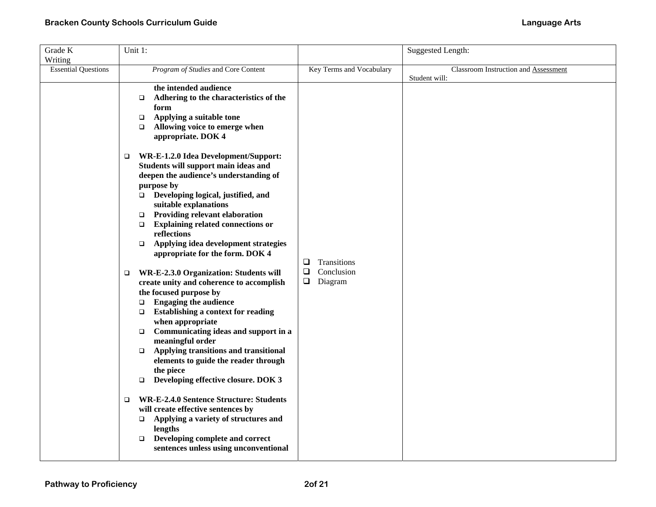| Grade K                    | Unit 1:                                                                                 |                          | Suggested Length:                    |
|----------------------------|-----------------------------------------------------------------------------------------|--------------------------|--------------------------------------|
| Writing                    |                                                                                         |                          |                                      |
| <b>Essential Questions</b> | Program of Studies and Core Content                                                     | Key Terms and Vocabulary | Classroom Instruction and Assessment |
|                            |                                                                                         |                          | Student will:                        |
|                            | the intended audience                                                                   |                          |                                      |
|                            | Adhering to the characteristics of the<br>$\Box$                                        |                          |                                      |
|                            | form                                                                                    |                          |                                      |
|                            | Applying a suitable tone<br>$\Box$<br>Allowing voice to emerge when                     |                          |                                      |
|                            | $\Box$<br>appropriate. DOK 4                                                            |                          |                                      |
|                            |                                                                                         |                          |                                      |
|                            | WR-E-1.2.0 Idea Development/Support:<br>$\Box$                                          |                          |                                      |
|                            | Students will support main ideas and                                                    |                          |                                      |
|                            | deepen the audience's understanding of                                                  |                          |                                      |
|                            | purpose by                                                                              |                          |                                      |
|                            | $\Box$ Developing logical, justified, and                                               |                          |                                      |
|                            | suitable explanations                                                                   |                          |                                      |
|                            | Providing relevant elaboration<br>$\Box$                                                |                          |                                      |
|                            | <b>Explaining related connections or</b><br>$\Box$                                      |                          |                                      |
|                            | reflections                                                                             |                          |                                      |
|                            | Applying idea development strategies<br>$\Box$<br>appropriate for the form. DOK 4       |                          |                                      |
|                            |                                                                                         | $\Box$<br>Transitions    |                                      |
|                            | WR-E-2.3.0 Organization: Students will<br>□                                             | Conclusion<br>❏          |                                      |
|                            | create unity and coherence to accomplish                                                | $\Box$<br>Diagram        |                                      |
|                            | the focused purpose by                                                                  |                          |                                      |
|                            | <b>Engaging the audience</b><br>$\Box$                                                  |                          |                                      |
|                            | <b>Establishing a context for reading</b><br>$\Box$                                     |                          |                                      |
|                            | when appropriate                                                                        |                          |                                      |
|                            | Communicating ideas and support in a<br>$\Box$                                          |                          |                                      |
|                            | meaningful order                                                                        |                          |                                      |
|                            | Applying transitions and transitional<br>$\Box$<br>elements to guide the reader through |                          |                                      |
|                            | the piece                                                                               |                          |                                      |
|                            | Developing effective closure. DOK 3<br>$\Box$                                           |                          |                                      |
|                            |                                                                                         |                          |                                      |
|                            | <b>WR-E-2.4.0 Sentence Structure: Students</b><br>□                                     |                          |                                      |
|                            | will create effective sentences by                                                      |                          |                                      |
|                            | Applying a variety of structures and<br>$\Box$                                          |                          |                                      |
|                            | lengths                                                                                 |                          |                                      |
|                            | Developing complete and correct<br>$\Box$                                               |                          |                                      |
|                            | sentences unless using unconventional                                                   |                          |                                      |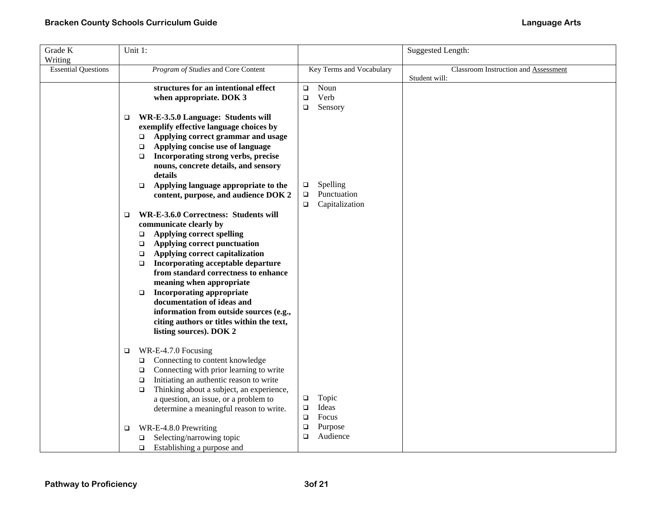| Grade K                    | Unit 1:                                                                                                                                                                                                                                                                                                                                                                                                                                                                                                                      |                                                                            | Suggested Length:                                     |
|----------------------------|------------------------------------------------------------------------------------------------------------------------------------------------------------------------------------------------------------------------------------------------------------------------------------------------------------------------------------------------------------------------------------------------------------------------------------------------------------------------------------------------------------------------------|----------------------------------------------------------------------------|-------------------------------------------------------|
| Writing                    |                                                                                                                                                                                                                                                                                                                                                                                                                                                                                                                              |                                                                            |                                                       |
| <b>Essential Questions</b> | Program of Studies and Core Content                                                                                                                                                                                                                                                                                                                                                                                                                                                                                          | Key Terms and Vocabulary                                                   | Classroom Instruction and Assessment<br>Student will: |
|                            | structures for an intentional effect<br>when appropriate. DOK 3<br>WR-E-3.5.0 Language: Students will<br>$\Box$<br>exemplify effective language choices by                                                                                                                                                                                                                                                                                                                                                                   | Noun<br>$\Box$<br>Verb<br>$\Box$<br>Sensory<br>$\Box$                      |                                                       |
|                            | Applying correct grammar and usage<br>$\Box$<br>Applying concise use of language<br>$\Box$<br>Incorporating strong verbs, precise<br>$\Box$<br>nouns, concrete details, and sensory<br>details                                                                                                                                                                                                                                                                                                                               |                                                                            |                                                       |
|                            | Applying language appropriate to the<br>$\Box$<br>content, purpose, and audience DOK 2                                                                                                                                                                                                                                                                                                                                                                                                                                       | Spelling<br>$\Box$<br>Punctuation<br>$\Box$<br>Capitalization<br>$\Box$    |                                                       |
|                            | WR-E-3.6.0 Correctness: Students will<br>$\Box$<br>communicate clearly by<br><b>Applying correct spelling</b><br>$\Box$<br>Applying correct punctuation<br>$\Box$<br>Applying correct capitalization<br>$\Box$<br>Incorporating acceptable departure<br>□<br>from standard correctness to enhance<br>meaning when appropriate<br><b>Incorporating appropriate</b><br>$\Box$<br>documentation of ideas and<br>information from outside sources (e.g.,<br>citing authors or titles within the text,<br>listing sources). DOK 2 |                                                                            |                                                       |
|                            | WR-E-4.7.0 Focusing<br>$\Box$<br>Connecting to content knowledge<br>□<br>Connecting with prior learning to write<br>$\Box$<br>Initiating an authentic reason to write<br>$\Box$<br>Thinking about a subject, an experience,<br>$\Box$<br>a question, an issue, or a problem to<br>determine a meaningful reason to write.<br>WR-E-4.8.0 Prewriting<br>□                                                                                                                                                                      | Topic<br>$\Box$<br>Ideas<br>$\Box$<br>$\Box$<br>Focus<br>$\Box$<br>Purpose |                                                       |
|                            | Selecting/narrowing topic<br>❏<br>Establishing a purpose and<br>$\Box$                                                                                                                                                                                                                                                                                                                                                                                                                                                       | Audience<br>$\Box$                                                         |                                                       |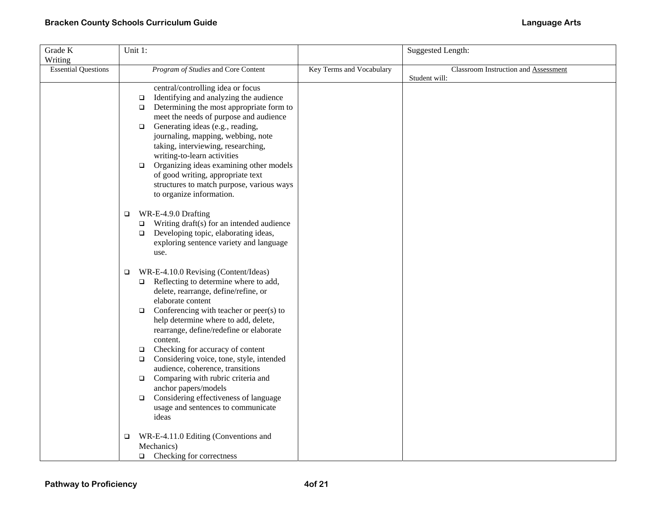| Grade K                    | Unit 1: |                                                     |                          | <b>Suggested Length:</b>             |
|----------------------------|---------|-----------------------------------------------------|--------------------------|--------------------------------------|
| Writing                    |         |                                                     |                          |                                      |
| <b>Essential Questions</b> |         | Program of Studies and Core Content                 | Key Terms and Vocabulary | Classroom Instruction and Assessment |
|                            |         |                                                     |                          | Student will:                        |
|                            |         | central/controlling idea or focus                   |                          |                                      |
|                            |         | Identifying and analyzing the audience<br>$\Box$    |                          |                                      |
|                            |         | Determining the most appropriate form to<br>$\Box$  |                          |                                      |
|                            |         | meet the needs of purpose and audience              |                          |                                      |
|                            |         | Generating ideas (e.g., reading,<br>$\Box$          |                          |                                      |
|                            |         | journaling, mapping, webbing, note                  |                          |                                      |
|                            |         | taking, interviewing, researching,                  |                          |                                      |
|                            |         | writing-to-learn activities                         |                          |                                      |
|                            |         | Organizing ideas examining other models<br>$\Box$   |                          |                                      |
|                            |         | of good writing, appropriate text                   |                          |                                      |
|                            |         | structures to match purpose, various ways           |                          |                                      |
|                            |         | to organize information.                            |                          |                                      |
|                            |         |                                                     |                          |                                      |
|                            | $\Box$  | WR-E-4.9.0 Drafting                                 |                          |                                      |
|                            |         | Writing draft(s) for an intended audience<br>$\Box$ |                          |                                      |
|                            |         | $\Box$ Developing topic, elaborating ideas,         |                          |                                      |
|                            |         | exploring sentence variety and language             |                          |                                      |
|                            |         | use.                                                |                          |                                      |
|                            |         |                                                     |                          |                                      |
|                            | $\Box$  | WR-E-4.10.0 Revising (Content/Ideas)                |                          |                                      |
|                            |         | $\Box$ Reflecting to determine where to add,        |                          |                                      |
|                            |         | delete, rearrange, define/refine, or                |                          |                                      |
|                            |         | elaborate content                                   |                          |                                      |
|                            |         | Conferencing with teacher or peer(s) to<br>$\Box$   |                          |                                      |
|                            |         | help determine where to add, delete,                |                          |                                      |
|                            |         | rearrange, define/redefine or elaborate             |                          |                                      |
|                            |         | content.                                            |                          |                                      |
|                            |         | Checking for accuracy of content<br>$\Box$          |                          |                                      |
|                            |         | Considering voice, tone, style, intended<br>$\Box$  |                          |                                      |
|                            |         | audience, coherence, transitions                    |                          |                                      |
|                            |         | Comparing with rubric criteria and<br>$\Box$        |                          |                                      |
|                            |         | anchor papers/models                                |                          |                                      |
|                            |         | Considering effectiveness of language<br>$\Box$     |                          |                                      |
|                            |         | usage and sentences to communicate                  |                          |                                      |
|                            |         | ideas                                               |                          |                                      |
|                            | ❏       | WR-E-4.11.0 Editing (Conventions and                |                          |                                      |
|                            |         | Mechanics)                                          |                          |                                      |
|                            |         | Checking for correctness<br>$\Box$                  |                          |                                      |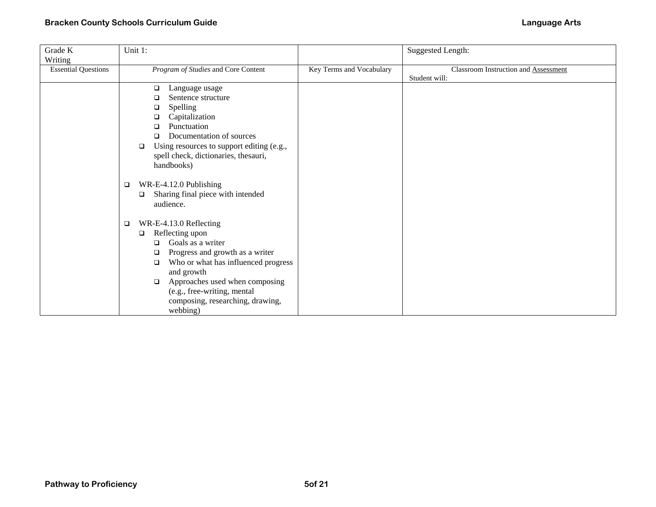| Grade K                    | Unit 1:                                                                                |                          | <b>Suggested Length:</b>             |
|----------------------------|----------------------------------------------------------------------------------------|--------------------------|--------------------------------------|
| Writing                    |                                                                                        |                          |                                      |
| <b>Essential Questions</b> | Program of Studies and Core Content                                                    | Key Terms and Vocabulary | Classroom Instruction and Assessment |
|                            |                                                                                        |                          | Student will:                        |
|                            | Language usage<br>□                                                                    |                          |                                      |
|                            | Sentence structure<br>□                                                                |                          |                                      |
|                            | Spelling<br>□                                                                          |                          |                                      |
|                            | Capitalization<br>❏                                                                    |                          |                                      |
|                            | Punctuation<br>□<br>Documentation of sources                                           |                          |                                      |
|                            | ◻                                                                                      |                          |                                      |
|                            | Using resources to support editing (e.g.,<br>□<br>spell check, dictionaries, thesauri, |                          |                                      |
|                            | handbooks)                                                                             |                          |                                      |
|                            |                                                                                        |                          |                                      |
|                            | WR-E-4.12.0 Publishing<br>□                                                            |                          |                                      |
|                            | Sharing final piece with intended<br>$\Box$                                            |                          |                                      |
|                            | audience.                                                                              |                          |                                      |
|                            |                                                                                        |                          |                                      |
|                            | WR-E-4.13.0 Reflecting<br>$\Box$                                                       |                          |                                      |
|                            | Reflecting upon<br>□                                                                   |                          |                                      |
|                            | Goals as a writer<br>□                                                                 |                          |                                      |
|                            | Progress and growth as a writer<br>□                                                   |                          |                                      |
|                            | Who or what has influenced progress<br>❏                                               |                          |                                      |
|                            | and growth                                                                             |                          |                                      |
|                            | Approaches used when composing<br>$\Box$                                               |                          |                                      |
|                            | (e.g., free-writing, mental                                                            |                          |                                      |
|                            | composing, researching, drawing,                                                       |                          |                                      |
|                            | webbing)                                                                               |                          |                                      |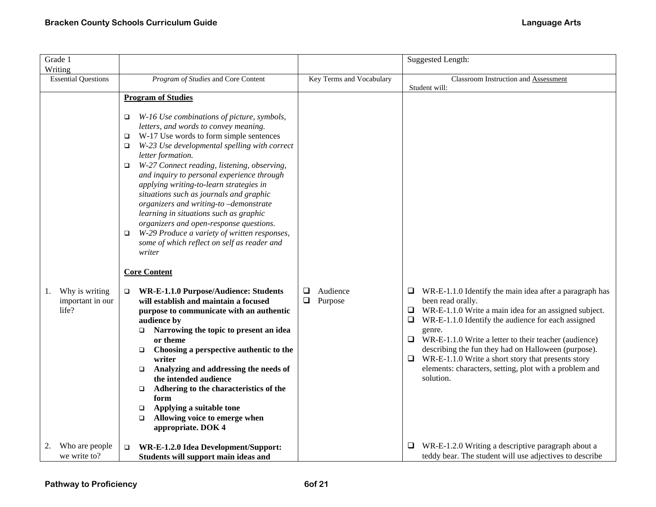| Grade 1                                           |                                                                                                                                                                                                                                                                                                                                                                                                                                                                                                                                                                                                                                                                                                                                                                                                                                                                                                                                                                                                                                                                                                                                                                                                                                               |                                         | Suggested Length:                                                                                                                                                                                                                                                                                                                                                                                                                                                                        |
|---------------------------------------------------|-----------------------------------------------------------------------------------------------------------------------------------------------------------------------------------------------------------------------------------------------------------------------------------------------------------------------------------------------------------------------------------------------------------------------------------------------------------------------------------------------------------------------------------------------------------------------------------------------------------------------------------------------------------------------------------------------------------------------------------------------------------------------------------------------------------------------------------------------------------------------------------------------------------------------------------------------------------------------------------------------------------------------------------------------------------------------------------------------------------------------------------------------------------------------------------------------------------------------------------------------|-----------------------------------------|------------------------------------------------------------------------------------------------------------------------------------------------------------------------------------------------------------------------------------------------------------------------------------------------------------------------------------------------------------------------------------------------------------------------------------------------------------------------------------------|
| Writing<br><b>Essential Questions</b>             | Program of Studies and Core Content                                                                                                                                                                                                                                                                                                                                                                                                                                                                                                                                                                                                                                                                                                                                                                                                                                                                                                                                                                                                                                                                                                                                                                                                           | Key Terms and Vocabulary                | Classroom Instruction and Assessment                                                                                                                                                                                                                                                                                                                                                                                                                                                     |
|                                                   |                                                                                                                                                                                                                                                                                                                                                                                                                                                                                                                                                                                                                                                                                                                                                                                                                                                                                                                                                                                                                                                                                                                                                                                                                                               |                                         | Student will:                                                                                                                                                                                                                                                                                                                                                                                                                                                                            |
|                                                   | <b>Program of Studies</b>                                                                                                                                                                                                                                                                                                                                                                                                                                                                                                                                                                                                                                                                                                                                                                                                                                                                                                                                                                                                                                                                                                                                                                                                                     |                                         |                                                                                                                                                                                                                                                                                                                                                                                                                                                                                          |
| Why is writing<br>1.<br>important in our<br>life? | W-16 Use combinations of picture, symbols,<br>□<br>letters, and words to convey meaning.<br>W-17 Use words to form simple sentences<br>$\Box$<br>W-23 Use developmental spelling with correct<br>$\Box$<br>letter formation.<br>W-27 Connect reading, listening, observing,<br>$\Box$<br>and inquiry to personal experience through<br>applying writing-to-learn strategies in<br>situations such as journals and graphic<br>organizers and writing-to-demonstrate<br>learning in situations such as graphic<br>organizers and open-response questions.<br>W-29 Produce a variety of written responses,<br>$\Box$<br>some of which reflect on self as reader and<br>writer<br><b>Core Content</b><br><b>WR-E-1.1.0 Purpose/Audience: Students</b><br>$\Box$<br>will establish and maintain a focused<br>purpose to communicate with an authentic<br>audience by<br>Narrowing the topic to present an idea<br>$\Box$<br>or theme<br>Choosing a perspective authentic to the<br>$\Box$<br>writer<br>Analyzing and addressing the needs of<br>$\Box$<br>the intended audience<br>Adhering to the characteristics of the<br>$\Box$<br>form<br>Applying a suitable tone<br>$\Box$<br>Allowing voice to emerge when<br>$\Box$<br>appropriate. DOK 4 | $\Box$<br>Audience<br>$\Box$<br>Purpose | WR-E-1.1.0 Identify the main idea after a paragraph has<br>$\Box$<br>been read orally.<br>$\Box$ WR-E-1.1.0 Write a main idea for an assigned subject.<br>$\Box$ WR-E-1.1.0 Identify the audience for each assigned<br>genre.<br>$\Box$ WR-E-1.1.0 Write a letter to their teacher (audience)<br>describing the fun they had on Halloween (purpose).<br>$\Box$ WR-E-1.1.0 Write a short story that presents story<br>elements: characters, setting, plot with a problem and<br>solution. |
| Who are people<br>2.<br>we write to?              | WR-E-1.2.0 Idea Development/Support:<br>$\Box$<br>Students will support main ideas and                                                                                                                                                                                                                                                                                                                                                                                                                                                                                                                                                                                                                                                                                                                                                                                                                                                                                                                                                                                                                                                                                                                                                        |                                         | WR-E-1.2.0 Writing a descriptive paragraph about a<br>⊔<br>teddy bear. The student will use adjectives to describe                                                                                                                                                                                                                                                                                                                                                                       |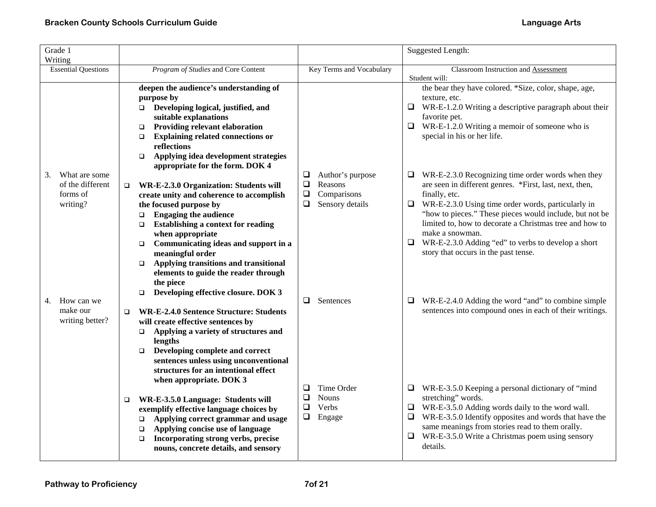| Grade 1<br>Writing                                              |                                                                                                                                                                                                                                                                                                                                                                                                                                         |                                                                                                  | <b>Suggested Length:</b>                                                                                                                                                                                                                                                                                                                                                                                                                         |
|-----------------------------------------------------------------|-----------------------------------------------------------------------------------------------------------------------------------------------------------------------------------------------------------------------------------------------------------------------------------------------------------------------------------------------------------------------------------------------------------------------------------------|--------------------------------------------------------------------------------------------------|--------------------------------------------------------------------------------------------------------------------------------------------------------------------------------------------------------------------------------------------------------------------------------------------------------------------------------------------------------------------------------------------------------------------------------------------------|
| <b>Essential Questions</b>                                      | Program of Studies and Core Content                                                                                                                                                                                                                                                                                                                                                                                                     | Key Terms and Vocabulary                                                                         | Classroom Instruction and Assessment<br>Student will:                                                                                                                                                                                                                                                                                                                                                                                            |
|                                                                 | deepen the audience's understanding of<br>purpose by<br>□ Developing logical, justified, and<br>suitable explanations<br><b>Providing relevant elaboration</b><br>$\Box$<br><b>Explaining related connections or</b><br>$\Box$<br>reflections<br>Applying idea development strategies<br>$\Box$                                                                                                                                         |                                                                                                  | the bear they have colored. *Size, color, shape, age,<br>texture, etc.<br>$\Box$ WR-E-1.2.0 Writing a descriptive paragraph about their<br>favorite pet.<br>WR-E-1.2.0 Writing a memoir of someone who is<br>$\Box$<br>special in his or her life.                                                                                                                                                                                               |
| What are some<br>3.<br>of the different<br>forms of<br>writing? | appropriate for the form. DOK 4<br>WR-E-2.3.0 Organization: Students will<br>$\Box$<br>create unity and coherence to accomplish<br>the focused purpose by<br><b>Engaging the audience</b><br>$\Box$<br><b>Establishing a context for reading</b><br>$\Box$<br>when appropriate<br>Communicating ideas and support in a<br>$\Box$<br>meaningful order<br>Applying transitions and transitional<br>$\Box$                                 | Author's purpose<br>❏<br>$\Box$<br>Reasons<br>$\Box$<br>Comparisons<br>Sensory details<br>$\Box$ | WR-E-2.3.0 Recognizing time order words when they<br>❏<br>are seen in different genres. *First, last, next, then,<br>finally, etc.<br>WR-E-2.3.0 Using time order words, particularly in<br>$\Box$<br>"how to pieces." These pieces would include, but not be<br>limited to, how to decorate a Christmas tree and how to<br>make a snowman.<br>$\Box$ WR-E-2.3.0 Adding "ed" to verbs to develop a short<br>story that occurs in the past tense. |
| How can we<br>4.<br>make our<br>writing better?                 | elements to guide the reader through<br>the piece<br>Developing effective closure. DOK 3<br>$\Box$<br><b>WR-E-2.4.0 Sentence Structure: Students</b><br>$\Box$<br>will create effective sentences by<br>Applying a variety of structures and<br>$\Box$<br>lengths                                                                                                                                                                       | $\Box$ Sentences                                                                                 | $\Box$ WR-E-2.4.0 Adding the word "and" to combine simple<br>sentences into compound ones in each of their writings.                                                                                                                                                                                                                                                                                                                             |
|                                                                 | Developing complete and correct<br>$\Box$<br>sentences unless using unconventional<br>structures for an intentional effect<br>when appropriate. DOK 3<br>WR-E-3.5.0 Language: Students will<br>$\Box$<br>exemplify effective language choices by<br>Applying correct grammar and usage<br>$\Box$<br>Applying concise use of language<br>$\Box$<br>Incorporating strong verbs, precise<br>$\Box$<br>nouns, concrete details, and sensory | Time Order<br>❏<br><b>Nouns</b><br>$\Box$<br>Verbs<br>$\Box$<br>$\Box$<br>Engage                 | WR-E-3.5.0 Keeping a personal dictionary of "mind"<br>⊔<br>stretching" words.<br>WR-E-3.5.0 Adding words daily to the word wall.<br>⊔<br>WR-E-3.5.0 Identify opposites and words that have the<br>$\Box$<br>same meanings from stories read to them orally.<br>WR-E-3.5.0 Write a Christmas poem using sensory<br>$\Box$<br>details.                                                                                                             |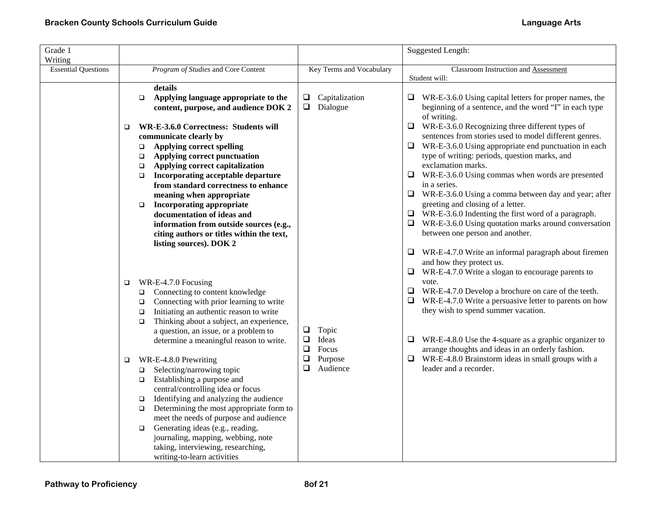| Grade 1<br>Writing         |                                                                    |                                                                                                                                                                                                                                                                                                                                                                                                                                                                                                                                      |                                                                                        | <b>Suggested Length:</b>                                                                                                                                                                                                                                                                                                                                                                                                                                                                                                                                          |
|----------------------------|--------------------------------------------------------------------|--------------------------------------------------------------------------------------------------------------------------------------------------------------------------------------------------------------------------------------------------------------------------------------------------------------------------------------------------------------------------------------------------------------------------------------------------------------------------------------------------------------------------------------|----------------------------------------------------------------------------------------|-------------------------------------------------------------------------------------------------------------------------------------------------------------------------------------------------------------------------------------------------------------------------------------------------------------------------------------------------------------------------------------------------------------------------------------------------------------------------------------------------------------------------------------------------------------------|
| <b>Essential Questions</b> |                                                                    | Program of Studies and Core Content                                                                                                                                                                                                                                                                                                                                                                                                                                                                                                  | Key Terms and Vocabulary                                                               | <b>Classroom Instruction and Assessment</b>                                                                                                                                                                                                                                                                                                                                                                                                                                                                                                                       |
|                            | $\Box$<br>□<br>$\Box$<br>$\Box$<br>$\Box$<br>$\Box$                | details<br>Applying language appropriate to the<br>content, purpose, and audience DOK 2<br>WR-E-3.6.0 Correctness: Students will<br>communicate clearly by<br><b>Applying correct spelling</b><br>Applying correct punctuation<br>Applying correct capitalization<br>Incorporating acceptable departure<br>from standard correctness to enhance<br>meaning when appropriate                                                                                                                                                          | $\Box$ Capitalization<br>$\Box$ Dialogue                                               | Student will:<br>$\Box$ WR-E-3.6.0 Using capital letters for proper names, the<br>beginning of a sentence, and the word "I" in each type<br>of writing.<br>$\Box$<br>WR-E-3.6.0 Recognizing three different types of<br>sentences from stories used to model different genres.<br>$\Box$ WR-E-3.6.0 Using appropriate end punctuation in each<br>type of writing: periods, question marks, and<br>exclamation marks.<br>$\Box$ WR-E-3.6.0 Using commas when words are presented<br>in a series.<br>WR-E-3.6.0 Using a comma between day and year; after<br>$\Box$ |
|                            | $\Box$<br>□<br>$\Box$<br>$\Box$<br>$\Box$                          | <b>Incorporating appropriate</b><br>documentation of ideas and<br>information from outside sources (e.g.,<br>citing authors or titles within the text,<br>listing sources). DOK 2<br>WR-E-4.7.0 Focusing<br>Connecting to content knowledge<br>Connecting with prior learning to write<br>Initiating an authentic reason to write                                                                                                                                                                                                    |                                                                                        | greeting and closing of a letter.<br>$\Box$ WR-E-3.6.0 Indenting the first word of a paragraph.<br>$\Box$ WR-E-3.6.0 Using quotation marks around conversation<br>between one person and another.<br>$\Box$<br>WR-E-4.7.0 Write an informal paragraph about firemen<br>and how they protect us.<br>WR-E-4.7.0 Write a slogan to encourage parents to<br>❏<br>vote.<br>$\Box$ WR-E-4.7.0 Develop a brochure on care of the teeth.<br>WR-E-4.7.0 Write a persuasive letter to parents on how<br>$\Box$<br>they wish to spend summer vacation.                       |
|                            | $\Box$<br>$\Box$<br>$\Box$<br>$\Box$<br>$\Box$<br>$\Box$<br>$\Box$ | Thinking about a subject, an experience,<br>a question, an issue, or a problem to<br>determine a meaningful reason to write.<br>WR-E-4.8.0 Prewriting<br>Selecting/narrowing topic<br>Establishing a purpose and<br>central/controlling idea or focus<br>Identifying and analyzing the audience<br>Determining the most appropriate form to<br>meet the needs of purpose and audience<br>Generating ideas (e.g., reading,<br>journaling, mapping, webbing, note<br>taking, interviewing, researching,<br>writing-to-learn activities | $\Box$<br>Topic<br>$\Box$<br>Ideas<br>$\Box$<br>Focus<br>❏<br>Purpose<br>◻<br>Audience | WR-E-4.8.0 Use the 4-square as a graphic organizer to<br>❏<br>arrange thoughts and ideas in an orderly fashion.<br>$\Box$ WR-E-4.8.0 Brainstorm ideas in small groups with a<br>leader and a recorder.                                                                                                                                                                                                                                                                                                                                                            |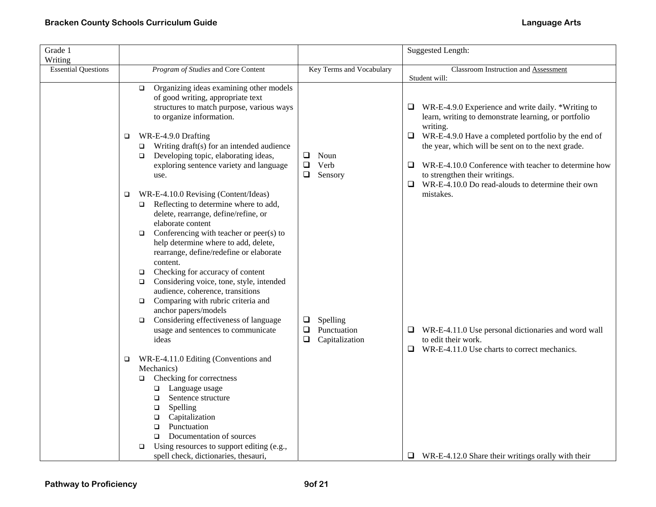| Grade 1<br>Writing         |                                                                                                                                                                                                                                                                                                                                                                                                                                                                                                                                 |                                                               | Suggested Length:                                                                                                                                                                              |
|----------------------------|---------------------------------------------------------------------------------------------------------------------------------------------------------------------------------------------------------------------------------------------------------------------------------------------------------------------------------------------------------------------------------------------------------------------------------------------------------------------------------------------------------------------------------|---------------------------------------------------------------|------------------------------------------------------------------------------------------------------------------------------------------------------------------------------------------------|
| <b>Essential Questions</b> | Program of Studies and Core Content                                                                                                                                                                                                                                                                                                                                                                                                                                                                                             | Key Terms and Vocabulary                                      | Classroom Instruction and Assessment<br>Student will:                                                                                                                                          |
|                            | Organizing ideas examining other models<br>$\Box$<br>of good writing, appropriate text<br>structures to match purpose, various ways<br>to organize information.<br>WR-E-4.9.0 Drafting<br>□                                                                                                                                                                                                                                                                                                                                     |                                                               | WR-E-4.9.0 Experience and write daily. *Writing to<br>$\Box$<br>learn, writing to demonstrate learning, or portfolio<br>writing.<br>$\Box$ WR-E-4.9.0 Have a completed portfolio by the end of |
|                            | Writing draft(s) for an intended audience<br>$\Box$<br>Developing topic, elaborating ideas,<br>$\Box$<br>exploring sentence variety and language<br>use.                                                                                                                                                                                                                                                                                                                                                                        | ❏<br>Noun<br>Verb<br>$\Box$<br>Sensory<br>$\Box$              | the year, which will be sent on to the next grade.<br>$\Box$ WR-E-4.10.0 Conference with teacher to determine how<br>to strengthen their writings.                                             |
|                            | WR-E-4.10.0 Revising (Content/Ideas)<br>$\Box$<br>$\Box$ Reflecting to determine where to add,<br>delete, rearrange, define/refine, or<br>elaborate content<br>Conferencing with teacher or peer(s) to<br>$\Box$<br>help determine where to add, delete,<br>rearrange, define/redefine or elaborate<br>content.<br>Checking for accuracy of content<br>$\Box$<br>Considering voice, tone, style, intended<br>$\Box$<br>audience, coherence, transitions<br>Comparing with rubric criteria and<br>$\Box$<br>anchor papers/models |                                                               | WR-E-4.10.0 Do read-alouds to determine their own<br>$\Box$<br>mistakes.                                                                                                                       |
|                            | Considering effectiveness of language<br>$\Box$<br>usage and sentences to communicate<br>ideas                                                                                                                                                                                                                                                                                                                                                                                                                                  | Spelling<br>⊔<br>Punctuation<br>$\Box$<br>Capitalization<br>Q | $\Box$ WR-E-4.11.0 Use personal dictionaries and word wall<br>to edit their work.<br>$\Box$ WR-E-4.11.0 Use charts to correct mechanics.                                                       |
|                            | WR-E-4.11.0 Editing (Conventions and<br>$\Box$<br>Mechanics)<br>Checking for correctness<br>$\Box$<br>$\Box$ Language usage<br>Sentence structure<br>$\Box$<br>Spelling<br>$\Box$<br>Capitalization<br>$\Box$<br>Punctuation<br>$\Box$<br>Documentation of sources<br>$\Box$<br>Using resources to support editing (e.g.,<br>$\Box$<br>spell check, dictionaries, thesauri,                                                                                                                                                     |                                                               | $\Box$ WR-E-4.12.0 Share their writings orally with their                                                                                                                                      |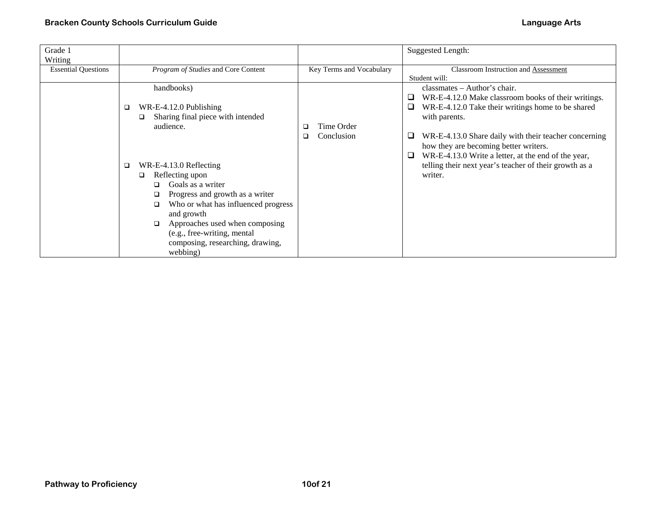| Grade 1<br>Writing         |                                                                                                                                                                                                                                                                                                                                                                                                      |                                    | <b>Suggested Length:</b>                                                                                                                                                                                                                                                                                                                                                                                   |
|----------------------------|------------------------------------------------------------------------------------------------------------------------------------------------------------------------------------------------------------------------------------------------------------------------------------------------------------------------------------------------------------------------------------------------------|------------------------------------|------------------------------------------------------------------------------------------------------------------------------------------------------------------------------------------------------------------------------------------------------------------------------------------------------------------------------------------------------------------------------------------------------------|
| <b>Essential Questions</b> | Program of Studies and Core Content                                                                                                                                                                                                                                                                                                                                                                  | Key Terms and Vocabulary           | Classroom Instruction and Assessment<br>Student will:                                                                                                                                                                                                                                                                                                                                                      |
|                            | handbooks)<br>WR-E-4.12.0 Publishing<br>$\Box$<br>Sharing final piece with intended<br>□<br>audience.<br>WR-E-4.13.0 Reflecting<br>$\Box$<br>Reflecting upon<br>$\Box$<br>Goals as a writer<br>Progress and growth as a writer<br>Who or what has influenced progress<br>and growth<br>Approaches used when composing<br>(e.g., free-writing, mental<br>composing, researching, drawing,<br>webbing) | Time Order<br>□<br>Conclusion<br>◻ | $classmates - Author's chair.$<br>WR-E-4.12.0 Make classroom books of their writings.<br>⊔.<br>WR-E-4.12.0 Take their writings home to be shared<br>u.<br>with parents.<br>WR-E-4.13.0 Share daily with their teacher concerning<br>how they are becoming better writers.<br>WR-E-4.13.0 Write a letter, at the end of the year,<br>u<br>telling their next year's teacher of their growth as a<br>writer. |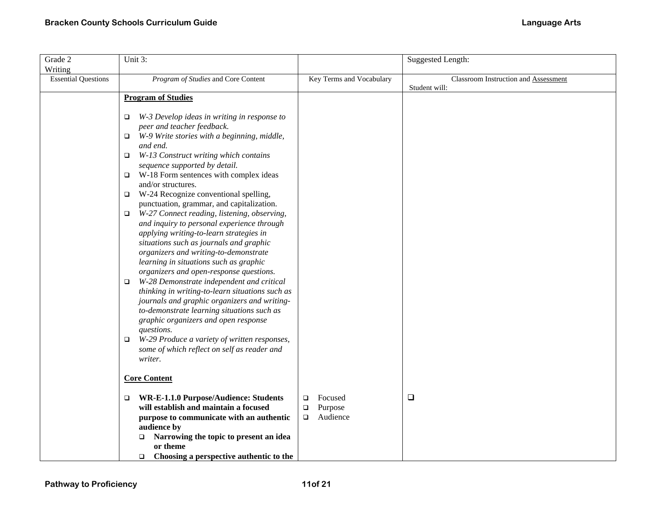| Grade 2<br>Writing         | Unit 3:                                                                                                                                                                                                                                                                                                                                                                                                                                                                                                                                                                                                                                                                                                                                                                                                                                                                                                                                                                                                                                                                                                                 |                                                              | <b>Suggested Length:</b>                              |
|----------------------------|-------------------------------------------------------------------------------------------------------------------------------------------------------------------------------------------------------------------------------------------------------------------------------------------------------------------------------------------------------------------------------------------------------------------------------------------------------------------------------------------------------------------------------------------------------------------------------------------------------------------------------------------------------------------------------------------------------------------------------------------------------------------------------------------------------------------------------------------------------------------------------------------------------------------------------------------------------------------------------------------------------------------------------------------------------------------------------------------------------------------------|--------------------------------------------------------------|-------------------------------------------------------|
| <b>Essential Questions</b> | Program of Studies and Core Content                                                                                                                                                                                                                                                                                                                                                                                                                                                                                                                                                                                                                                                                                                                                                                                                                                                                                                                                                                                                                                                                                     | Key Terms and Vocabulary                                     | Classroom Instruction and Assessment<br>Student will: |
|                            | <b>Program of Studies</b>                                                                                                                                                                                                                                                                                                                                                                                                                                                                                                                                                                                                                                                                                                                                                                                                                                                                                                                                                                                                                                                                                               |                                                              |                                                       |
|                            | W-3 Develop ideas in writing in response to<br>O.<br>peer and teacher feedback.<br>W-9 Write stories with a beginning, middle,<br>$\Box$<br>and end.<br>W-13 Construct writing which contains<br>$\Box$<br>sequence supported by detail.<br>$\Box$ W-18 Form sentences with complex ideas<br>and/or structures.<br>W-24 Recognize conventional spelling,<br>$\Box$<br>punctuation, grammar, and capitalization.<br>W-27 Connect reading, listening, observing,<br>□<br>and inquiry to personal experience through<br>applying writing-to-learn strategies in<br>situations such as journals and graphic<br>organizers and writing-to-demonstrate<br>learning in situations such as graphic<br>organizers and open-response questions.<br>W-28 Demonstrate independent and critical<br>$\Box$<br>thinking in writing-to-learn situations such as<br>journals and graphic organizers and writing-<br>to-demonstrate learning situations such as<br>graphic organizers and open response<br>questions.<br>W-29 Produce a variety of written responses,<br>$\Box$<br>some of which reflect on self as reader and<br>writer. |                                                              |                                                       |
|                            | <b>Core Content</b>                                                                                                                                                                                                                                                                                                                                                                                                                                                                                                                                                                                                                                                                                                                                                                                                                                                                                                                                                                                                                                                                                                     |                                                              |                                                       |
|                            | WR-E-1.1.0 Purpose/Audience: Students<br>$\Box$<br>will establish and maintain a focused<br>purpose to communicate with an authentic<br>audience by<br>Narrowing the topic to present an idea<br>$\Box$<br>or theme<br>Choosing a perspective authentic to the<br>$\Box$                                                                                                                                                                                                                                                                                                                                                                                                                                                                                                                                                                                                                                                                                                                                                                                                                                                | Focused<br>$\Box$<br>Purpose<br>$\Box$<br>Audience<br>$\Box$ | $\Box$                                                |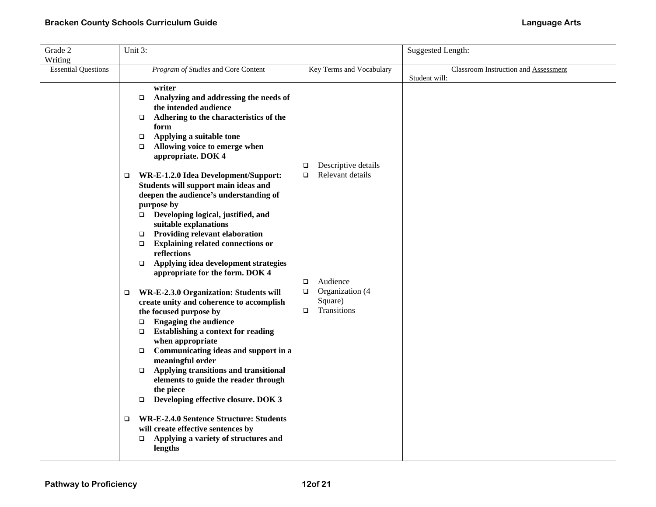| Grade 2                    | Unit 3: |                                                           |             |                          | Suggested Length:                    |
|----------------------------|---------|-----------------------------------------------------------|-------------|--------------------------|--------------------------------------|
| Writing                    |         |                                                           |             |                          |                                      |
| <b>Essential Questions</b> |         | Program of Studies and Core Content                       |             | Key Terms and Vocabulary | Classroom Instruction and Assessment |
|                            |         |                                                           |             |                          | Student will:                        |
|                            |         | writer                                                    |             |                          |                                      |
|                            |         | Analyzing and addressing the needs of<br>$\Box$           |             |                          |                                      |
|                            |         | the intended audience                                     |             |                          |                                      |
|                            |         | Adhering to the characteristics of the<br>$\Box$          |             |                          |                                      |
|                            |         | form                                                      |             |                          |                                      |
|                            |         | Applying a suitable tone<br>$\Box$                        |             |                          |                                      |
|                            |         | Allowing voice to emerge when<br>$\Box$                   |             |                          |                                      |
|                            |         | appropriate. DOK 4                                        |             | Descriptive details      |                                      |
|                            |         | WR-E-1.2.0 Idea Development/Support:                      | □<br>$\Box$ | Relevant details         |                                      |
|                            | $\Box$  | Students will support main ideas and                      |             |                          |                                      |
|                            |         | deepen the audience's understanding of                    |             |                          |                                      |
|                            |         | purpose by                                                |             |                          |                                      |
|                            |         | $\Box$ Developing logical, justified, and                 |             |                          |                                      |
|                            |         | suitable explanations                                     |             |                          |                                      |
|                            |         | <b>Providing relevant elaboration</b><br>$\Box$           |             |                          |                                      |
|                            |         | <b>Explaining related connections or</b><br>$\Box$        |             |                          |                                      |
|                            |         | reflections                                               |             |                          |                                      |
|                            |         | Applying idea development strategies<br>$\Box$            |             |                          |                                      |
|                            |         | appropriate for the form. DOK 4                           |             |                          |                                      |
|                            |         |                                                           | $\Box$      | Audience                 |                                      |
|                            | $\Box$  | WR-E-2.3.0 Organization: Students will                    | о           | Organization (4          |                                      |
|                            |         | create unity and coherence to accomplish                  |             | Square)                  |                                      |
|                            |         | the focused purpose by                                    | $\Box$      | Transitions              |                                      |
|                            |         | <b>Engaging the audience</b><br>$\Box$                    |             |                          |                                      |
|                            |         | $\Box$ Establishing a context for reading                 |             |                          |                                      |
|                            |         | when appropriate                                          |             |                          |                                      |
|                            |         | Communicating ideas and support in a<br>$\Box$            |             |                          |                                      |
|                            |         | meaningful order<br>Applying transitions and transitional |             |                          |                                      |
|                            |         | $\Box$<br>elements to guide the reader through            |             |                          |                                      |
|                            |         | the piece                                                 |             |                          |                                      |
|                            |         | Developing effective closure. DOK 3<br>$\Box$             |             |                          |                                      |
|                            |         |                                                           |             |                          |                                      |
|                            | $\Box$  | <b>WR-E-2.4.0 Sentence Structure: Students</b>            |             |                          |                                      |
|                            |         | will create effective sentences by                        |             |                          |                                      |
|                            |         | Applying a variety of structures and<br>$\Box$            |             |                          |                                      |
|                            |         | lengths                                                   |             |                          |                                      |
|                            |         |                                                           |             |                          |                                      |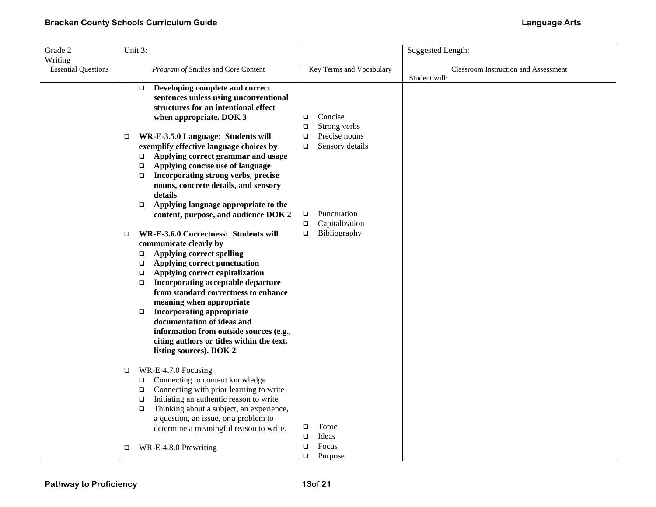|                                                                                                                                                                                                                                                                                                                    |                                                                                                                                                                                                                                                       |                                                                                                                                                                                                                                                                                                                     |                                  | Suggested Length:                                                   |
|--------------------------------------------------------------------------------------------------------------------------------------------------------------------------------------------------------------------------------------------------------------------------------------------------------------------|-------------------------------------------------------------------------------------------------------------------------------------------------------------------------------------------------------------------------------------------------------|---------------------------------------------------------------------------------------------------------------------------------------------------------------------------------------------------------------------------------------------------------------------------------------------------------------------|----------------------------------|---------------------------------------------------------------------|
|                                                                                                                                                                                                                                                                                                                    |                                                                                                                                                                                                                                                       |                                                                                                                                                                                                                                                                                                                     |                                  |                                                                     |
|                                                                                                                                                                                                                                                                                                                    | Program of Studies and Core Content                                                                                                                                                                                                                   |                                                                                                                                                                                                                                                                                                                     |                                  | Classroom Instruction and Assessment<br>Student will:               |
|                                                                                                                                                                                                                                                                                                                    | Developing complete and correct<br>sentences unless using unconventional<br>structures for an intentional effect<br>when appropriate. DOK 3                                                                                                           | $\Box$                                                                                                                                                                                                                                                                                                              | Concise                          |                                                                     |
| □                                                                                                                                                                                                                                                                                                                  | Applying correct grammar and usage<br>Applying concise use of language<br>Incorporating strong verbs, precise<br>nouns, concrete details, and sensory<br>details                                                                                      | $\Box$<br>$\Box$                                                                                                                                                                                                                                                                                                    | Precise nouns<br>Sensory details |                                                                     |
|                                                                                                                                                                                                                                                                                                                    | content, purpose, and audience DOK 2                                                                                                                                                                                                                  | $\Box$<br>$\Box$                                                                                                                                                                                                                                                                                                    | Punctuation<br>Capitalization    |                                                                     |
| $\Box$<br>communicate clearly by<br><b>Applying correct spelling</b><br>$\Box$<br>Applying correct punctuation<br>$\Box$<br>Applying correct capitalization<br>$\Box$<br>$\Box$<br>meaning when appropriate<br><b>Incorporating appropriate</b><br>$\Box$<br>documentation of ideas and<br>listing sources). DOK 2 | Incorporating acceptable departure<br>from standard correctness to enhance<br>information from outside sources (e.g.,<br>citing authors or titles within the text,                                                                                    |                                                                                                                                                                                                                                                                                                                     |                                  |                                                                     |
| $\Box$<br>$\Box$                                                                                                                                                                                                                                                                                                   | Connecting to content knowledge<br>Connecting with prior learning to write<br>Initiating an authentic reason to write<br>Thinking about a subject, an experience,<br>a question, an issue, or a problem to<br>determine a meaningful reason to write. | □<br>$\Box$<br>$\Box$                                                                                                                                                                                                                                                                                               | Topic<br>Ideas<br>Focus          |                                                                     |
|                                                                                                                                                                                                                                                                                                                    |                                                                                                                                                                                                                                                       | Unit 3:<br>$\Box$<br>WR-E-3.5.0 Language: Students will<br>exemplify effective language choices by<br>$\Box$<br>$\Box$<br>$\Box$<br>Applying language appropriate to the<br>$\Box$<br>WR-E-3.6.0 Correctness: Students will<br>WR-E-4.7.0 Focusing<br>$\Box$<br>$\Box$<br>$\Box$<br>$\Box$<br>WR-E-4.8.0 Prewriting | $\Box$<br>$\Box$<br>$\Box$       | Key Terms and Vocabulary<br>Strong verbs<br>Bibliography<br>Purpose |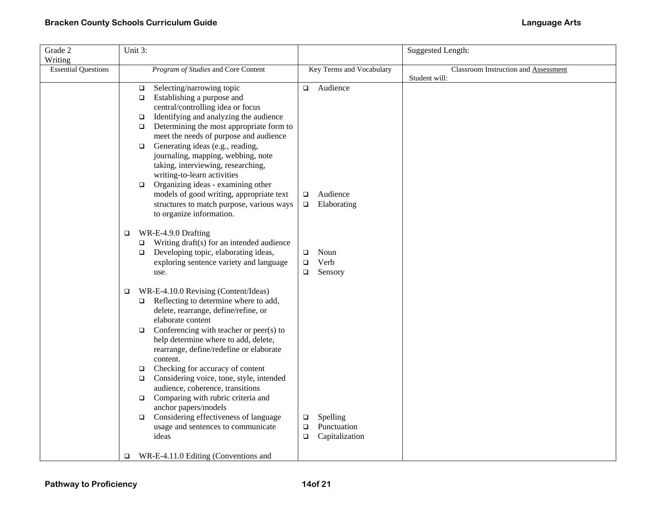| Grade 2                    | Unit 3: |                                                                               |        |                          | Suggested Length:                    |
|----------------------------|---------|-------------------------------------------------------------------------------|--------|--------------------------|--------------------------------------|
| Writing                    |         |                                                                               |        |                          |                                      |
| <b>Essential Questions</b> |         | Program of Studies and Core Content                                           |        | Key Terms and Vocabulary | Classroom Instruction and Assessment |
|                            |         |                                                                               |        |                          | Student will:                        |
|                            | $\Box$  | Selecting/narrowing topic                                                     | $\Box$ | Audience                 |                                      |
|                            | $\Box$  | Establishing a purpose and                                                    |        |                          |                                      |
|                            |         | central/controlling idea or focus                                             |        |                          |                                      |
|                            | $\Box$  | Identifying and analyzing the audience                                        |        |                          |                                      |
|                            | $\Box$  | Determining the most appropriate form to                                      |        |                          |                                      |
|                            |         | meet the needs of purpose and audience                                        |        |                          |                                      |
|                            | $\Box$  | Generating ideas (e.g., reading,                                              |        |                          |                                      |
|                            |         | journaling, mapping, webbing, note                                            |        |                          |                                      |
|                            |         | taking, interviewing, researching,<br>writing-to-learn activities             |        |                          |                                      |
|                            | $\Box$  | Organizing ideas - examining other                                            |        |                          |                                      |
|                            |         | models of good writing, appropriate text                                      | $\Box$ | Audience                 |                                      |
|                            |         | structures to match purpose, various ways                                     | $\Box$ | Elaborating              |                                      |
|                            |         | to organize information.                                                      |        |                          |                                      |
|                            |         |                                                                               |        |                          |                                      |
|                            | □       | WR-E-4.9.0 Drafting                                                           |        |                          |                                      |
|                            | $\Box$  | Writing draft(s) for an intended audience                                     |        |                          |                                      |
|                            | $\Box$  | Developing topic, elaborating ideas,                                          | $\Box$ | Noun                     |                                      |
|                            |         | exploring sentence variety and language                                       | $\Box$ | Verb                     |                                      |
|                            |         | use.                                                                          | □      | Sensory                  |                                      |
|                            |         |                                                                               |        |                          |                                      |
|                            | $\Box$  | WR-E-4.10.0 Revising (Content/Ideas)<br>Reflecting to determine where to add, |        |                          |                                      |
|                            | $\Box$  | delete, rearrange, define/refine, or                                          |        |                          |                                      |
|                            |         | elaborate content                                                             |        |                          |                                      |
|                            | $\Box$  | Conferencing with teacher or peer(s) to                                       |        |                          |                                      |
|                            |         | help determine where to add, delete,                                          |        |                          |                                      |
|                            |         | rearrange, define/redefine or elaborate                                       |        |                          |                                      |
|                            |         | content.                                                                      |        |                          |                                      |
|                            | $\Box$  | Checking for accuracy of content                                              |        |                          |                                      |
|                            | $\Box$  | Considering voice, tone, style, intended                                      |        |                          |                                      |
|                            |         | audience, coherence, transitions                                              |        |                          |                                      |
|                            | $\Box$  | Comparing with rubric criteria and                                            |        |                          |                                      |
|                            |         | anchor papers/models                                                          |        |                          |                                      |
|                            | $\Box$  | Considering effectiveness of language                                         | $\Box$ | Spelling                 |                                      |
|                            |         | usage and sentences to communicate                                            | $\Box$ | Punctuation              |                                      |
|                            |         | ideas                                                                         | $\Box$ | Capitalization           |                                      |
|                            | $\Box$  | WR-E-4.11.0 Editing (Conventions and                                          |        |                          |                                      |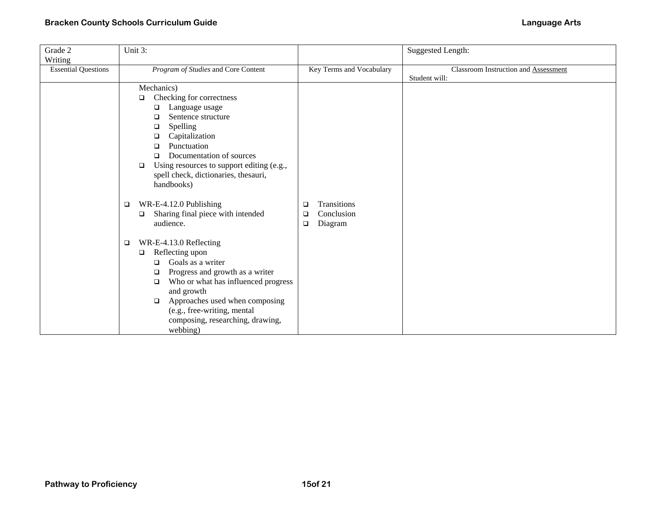| Grade 2                    | Unit 3:                                                               |                          | <b>Suggested Length:</b>                    |
|----------------------------|-----------------------------------------------------------------------|--------------------------|---------------------------------------------|
| Writing                    |                                                                       |                          |                                             |
| <b>Essential Questions</b> | Program of Studies and Core Content                                   | Key Terms and Vocabulary | <b>Classroom Instruction and Assessment</b> |
|                            |                                                                       |                          | Student will:                               |
|                            | Mechanics)                                                            |                          |                                             |
|                            | Checking for correctness<br>$\Box$                                    |                          |                                             |
|                            | Language usage<br>□                                                   |                          |                                             |
|                            | Sentence structure<br>$\Box$                                          |                          |                                             |
|                            | Spelling<br>$\Box$                                                    |                          |                                             |
|                            | Capitalization<br>□                                                   |                          |                                             |
|                            | Punctuation<br>□                                                      |                          |                                             |
|                            | Documentation of sources<br>$\Box$                                    |                          |                                             |
|                            | Using resources to support editing (e.g.,<br>$\Box$                   |                          |                                             |
|                            | spell check, dictionaries, thesauri,                                  |                          |                                             |
|                            | handbooks)                                                            |                          |                                             |
|                            | $\Box$                                                                | Transitions              |                                             |
|                            | WR-E-4.12.0 Publishing<br>Sharing final piece with intended<br>$\Box$ | ❏<br>Conclusion<br>□     |                                             |
|                            | audience.                                                             | Diagram<br>$\Box$        |                                             |
|                            |                                                                       |                          |                                             |
|                            | WR-E-4.13.0 Reflecting<br>$\Box$                                      |                          |                                             |
|                            | Reflecting upon<br>$\Box$                                             |                          |                                             |
|                            | Goals as a writer<br>◻                                                |                          |                                             |
|                            | Progress and growth as a writer<br>❏                                  |                          |                                             |
|                            | Who or what has influenced progress<br>$\Box$                         |                          |                                             |
|                            | and growth                                                            |                          |                                             |
|                            | Approaches used when composing<br>$\Box$                              |                          |                                             |
|                            | (e.g., free-writing, mental                                           |                          |                                             |
|                            | composing, researching, drawing,                                      |                          |                                             |
|                            | webbing)                                                              |                          |                                             |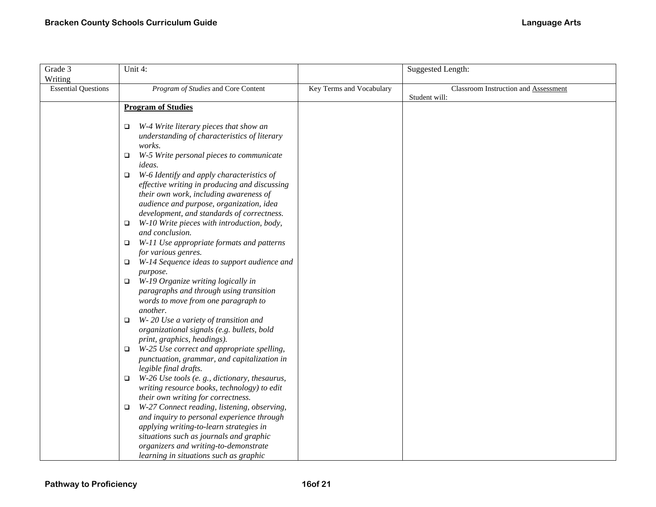| Grade 3<br>Writing         | Unit 4:                                                                                                                                                                                                                                  |                          | Suggested Length:                                     |
|----------------------------|------------------------------------------------------------------------------------------------------------------------------------------------------------------------------------------------------------------------------------------|--------------------------|-------------------------------------------------------|
| <b>Essential Questions</b> | Program of Studies and Core Content                                                                                                                                                                                                      | Key Terms and Vocabulary | Classroom Instruction and Assessment<br>Student will: |
|                            | <b>Program of Studies</b>                                                                                                                                                                                                                |                          |                                                       |
|                            | W-4 Write literary pieces that show an<br>$\Box$<br>understanding of characteristics of literary<br>works.                                                                                                                               |                          |                                                       |
|                            | W-5 Write personal pieces to communicate<br>$\Box$<br>ideas.                                                                                                                                                                             |                          |                                                       |
|                            | W-6 Identify and apply characteristics of<br>$\Box$<br>effective writing in producing and discussing<br>their own work, including awareness of<br>audience and purpose, organization, idea<br>development, and standards of correctness. |                          |                                                       |
|                            | W-10 Write pieces with introduction, body,<br>$\Box$                                                                                                                                                                                     |                          |                                                       |
|                            | and conclusion.<br>W-11 Use appropriate formats and patterns<br>$\Box$                                                                                                                                                                   |                          |                                                       |
|                            | for various genres.<br>W-14 Sequence ideas to support audience and<br>$\Box$                                                                                                                                                             |                          |                                                       |
|                            | purpose.<br>W-19 Organize writing logically in<br>$\Box$<br>paragraphs and through using transition<br>words to move from one paragraph to<br>another.                                                                                   |                          |                                                       |
|                            | W-20 Use a variety of transition and<br>□<br>organizational signals (e.g. bullets, bold<br>print, graphics, headings).                                                                                                                   |                          |                                                       |
|                            | W-25 Use correct and appropriate spelling,<br>$\Box$<br>punctuation, grammar, and capitalization in<br>legible final drafts.                                                                                                             |                          |                                                       |
|                            | W-26 Use tools (e.g., dictionary, thesaurus,<br>$\Box$<br>writing resource books, technology) to edit<br>their own writing for correctness.                                                                                              |                          |                                                       |
|                            | W-27 Connect reading, listening, observing,<br>□<br>and inquiry to personal experience through<br>applying writing-to-learn strategies in<br>situations such as journals and graphic                                                     |                          |                                                       |
|                            | organizers and writing-to-demonstrate<br>learning in situations such as graphic                                                                                                                                                          |                          |                                                       |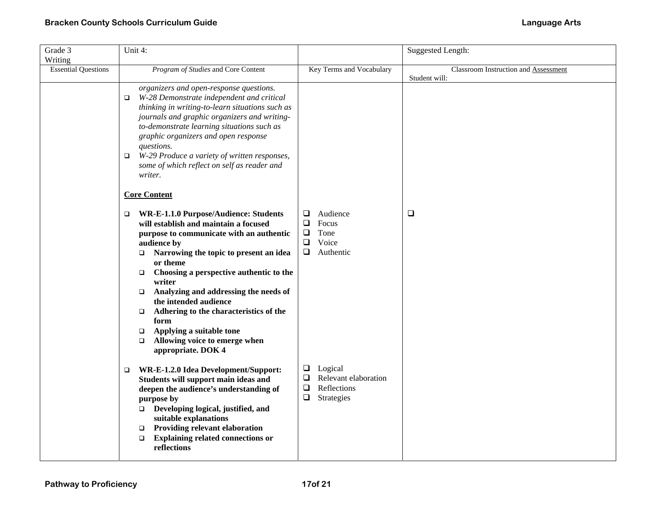| Grade 3                    | Unit 4:                                                                                   |                                  | Suggested Length:                    |
|----------------------------|-------------------------------------------------------------------------------------------|----------------------------------|--------------------------------------|
| Writing                    |                                                                                           |                                  |                                      |
| <b>Essential Questions</b> | Program of Studies and Core Content                                                       | Key Terms and Vocabulary         | Classroom Instruction and Assessment |
|                            |                                                                                           |                                  | Student will:                        |
|                            | organizers and open-response questions.<br>W-28 Demonstrate independent and critical<br>□ |                                  |                                      |
|                            | thinking in writing-to-learn situations such as                                           |                                  |                                      |
|                            | journals and graphic organizers and writing-                                              |                                  |                                      |
|                            | to-demonstrate learning situations such as                                                |                                  |                                      |
|                            | graphic organizers and open response                                                      |                                  |                                      |
|                            | questions.                                                                                |                                  |                                      |
|                            | W-29 Produce a variety of written responses,<br>$\Box$                                    |                                  |                                      |
|                            | some of which reflect on self as reader and                                               |                                  |                                      |
|                            | writer.                                                                                   |                                  |                                      |
|                            | <b>Core Content</b>                                                                       |                                  |                                      |
|                            |                                                                                           |                                  |                                      |
|                            | WR-E-1.1.0 Purpose/Audience: Students<br>$\Box$                                           | Audience<br>⊔<br>$\Box$<br>Focus | $\Box$                               |
|                            | will establish and maintain a focused<br>purpose to communicate with an authentic         | Tone<br>$\Box$                   |                                      |
|                            | audience by                                                                               | $\Box$<br>Voice                  |                                      |
|                            | Narrowing the topic to present an idea<br>$\Box$                                          | $\Box$<br>Authentic              |                                      |
|                            | or theme                                                                                  |                                  |                                      |
|                            | Choosing a perspective authentic to the<br>$\Box$                                         |                                  |                                      |
|                            | writer<br>Analyzing and addressing the needs of<br>$\Box$                                 |                                  |                                      |
|                            | the intended audience                                                                     |                                  |                                      |
|                            | Adhering to the characteristics of the<br>□                                               |                                  |                                      |
|                            | form                                                                                      |                                  |                                      |
|                            | Applying a suitable tone<br>$\Box$                                                        |                                  |                                      |
|                            | Allowing voice to emerge when<br>$\Box$                                                   |                                  |                                      |
|                            | appropriate. DOK 4                                                                        |                                  |                                      |
|                            | WR-E-1.2.0 Idea Development/Support:<br>❏                                                 | Logical<br>❏                     |                                      |
|                            | Students will support main ideas and                                                      | Relevant elaboration<br>$\Box$   |                                      |
|                            | deepen the audience's understanding of                                                    | $\Box$<br>Reflections            |                                      |
|                            | purpose by                                                                                | $\Box$<br>Strategies             |                                      |
|                            | $\Box$ Developing logical, justified, and                                                 |                                  |                                      |
|                            | suitable explanations                                                                     |                                  |                                      |
|                            | Providing relevant elaboration<br>$\Box$                                                  |                                  |                                      |
|                            | <b>Explaining related connections or</b><br>$\Box$                                        |                                  |                                      |
|                            | reflections                                                                               |                                  |                                      |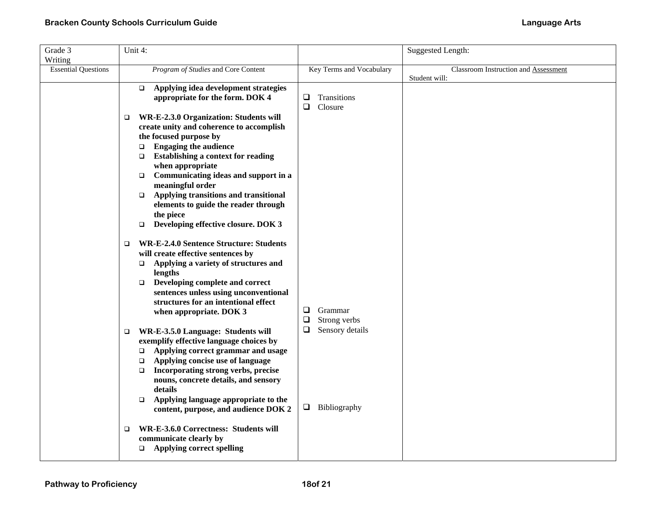| Grade 3                    | Unit 4:                                                                                                                                                                                                                                                                                                                                                                                                              |                                                  | Suggested Length:                                     |
|----------------------------|----------------------------------------------------------------------------------------------------------------------------------------------------------------------------------------------------------------------------------------------------------------------------------------------------------------------------------------------------------------------------------------------------------------------|--------------------------------------------------|-------------------------------------------------------|
| Writing                    |                                                                                                                                                                                                                                                                                                                                                                                                                      |                                                  |                                                       |
| <b>Essential Questions</b> | Program of Studies and Core Content                                                                                                                                                                                                                                                                                                                                                                                  | Key Terms and Vocabulary                         | Classroom Instruction and Assessment<br>Student will: |
|                            | Applying idea development strategies<br>$\Box$<br>appropriate for the form. DOK 4                                                                                                                                                                                                                                                                                                                                    | Transitions<br>$\Box$<br>$\Box$<br>Closure       |                                                       |
|                            | WR-E-2.3.0 Organization: Students will<br>$\Box$<br>create unity and coherence to accomplish<br>the focused purpose by<br><b>Engaging the audience</b><br>$\Box$<br><b>Establishing a context for reading</b><br>▫<br>when appropriate<br>Communicating ideas and support in a<br>$\Box$<br>meaningful order<br>Applying transitions and transitional<br>$\Box$<br>elements to guide the reader through<br>the piece |                                                  |                                                       |
|                            | Developing effective closure. DOK 3<br>$\Box$<br><b>WR-E-2.4.0 Sentence Structure: Students</b><br>□<br>will create effective sentences by<br>Applying a variety of structures and<br>$\Box$<br>lengths<br>Developing complete and correct<br>$\Box$<br>sentences unless using unconventional<br>structures for an intentional effect<br>when appropriate. DOK 3                                                     | Grammar<br>❏<br>$\Box$<br>Strong verbs           |                                                       |
|                            | WR-E-3.5.0 Language: Students will<br>$\Box$<br>exemplify effective language choices by<br>Applying correct grammar and usage<br>$\Box$<br>Applying concise use of language<br>$\Box$<br>Incorporating strong verbs, precise<br>$\Box$<br>nouns, concrete details, and sensory<br>details<br>Applying language appropriate to the<br>$\Box$<br>content, purpose, and audience DOK 2                                  | $\Box$<br>Sensory details<br>$\Box$ Bibliography |                                                       |
|                            | WR-E-3.6.0 Correctness: Students will<br>$\Box$<br>communicate clearly by<br><b>Applying correct spelling</b><br>$\Box$                                                                                                                                                                                                                                                                                              |                                                  |                                                       |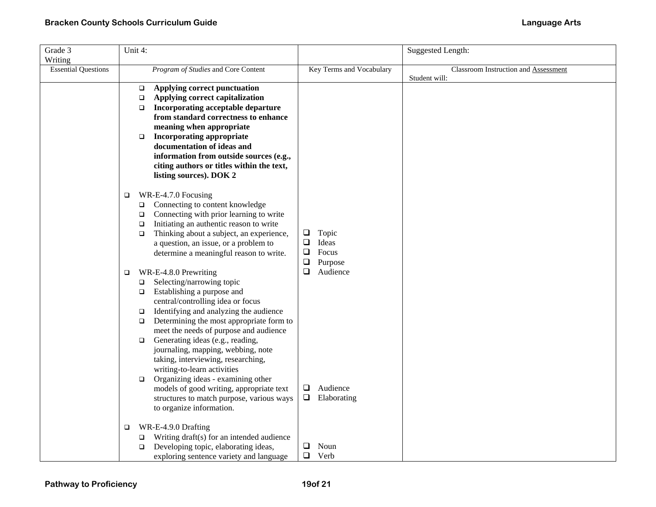| Grade 3                    |        | Unit 4: |                                                                                 |        |                          | Suggested Length:                    |
|----------------------------|--------|---------|---------------------------------------------------------------------------------|--------|--------------------------|--------------------------------------|
| Writing                    |        |         |                                                                                 |        |                          |                                      |
| <b>Essential Questions</b> |        |         | Program of Studies and Core Content                                             |        | Key Terms and Vocabulary | Classroom Instruction and Assessment |
|                            |        |         |                                                                                 |        |                          | Student will:                        |
|                            |        | $\Box$  | Applying correct punctuation                                                    |        |                          |                                      |
|                            |        | $\Box$  | Applying correct capitalization                                                 |        |                          |                                      |
|                            |        | $\Box$  | Incorporating acceptable departure                                              |        |                          |                                      |
|                            |        |         | from standard correctness to enhance                                            |        |                          |                                      |
|                            |        |         | meaning when appropriate                                                        |        |                          |                                      |
|                            |        | $\Box$  | <b>Incorporating appropriate</b><br>documentation of ideas and                  |        |                          |                                      |
|                            |        |         | information from outside sources (e.g.,                                         |        |                          |                                      |
|                            |        |         | citing authors or titles within the text,                                       |        |                          |                                      |
|                            |        |         | listing sources). DOK 2                                                         |        |                          |                                      |
|                            |        |         |                                                                                 |        |                          |                                      |
|                            | $\Box$ |         | WR-E-4.7.0 Focusing                                                             |        |                          |                                      |
|                            |        | $\Box$  | Connecting to content knowledge                                                 |        |                          |                                      |
|                            |        | $\Box$  | Connecting with prior learning to write                                         |        |                          |                                      |
|                            |        | $\Box$  | Initiating an authentic reason to write                                         |        |                          |                                      |
|                            |        | $\Box$  | Thinking about a subject, an experience,                                        | ⊔      | Topic                    |                                      |
|                            |        |         | a question, an issue, or a problem to                                           | $\Box$ | Ideas                    |                                      |
|                            |        |         | determine a meaningful reason to write.                                         | $\Box$ | Focus                    |                                      |
|                            |        |         |                                                                                 | $\Box$ | Purpose                  |                                      |
|                            | □      |         | WR-E-4.8.0 Prewriting                                                           | ❏      | Audience                 |                                      |
|                            |        | $\Box$  | Selecting/narrowing topic                                                       |        |                          |                                      |
|                            |        | $\Box$  | Establishing a purpose and                                                      |        |                          |                                      |
|                            |        |         | central/controlling idea or focus                                               |        |                          |                                      |
|                            |        | $\Box$  | Identifying and analyzing the audience                                          |        |                          |                                      |
|                            |        | $\Box$  | Determining the most appropriate form to                                        |        |                          |                                      |
|                            |        | $\Box$  | meet the needs of purpose and audience<br>Generating ideas (e.g., reading,      |        |                          |                                      |
|                            |        |         | journaling, mapping, webbing, note                                              |        |                          |                                      |
|                            |        |         | taking, interviewing, researching,                                              |        |                          |                                      |
|                            |        |         | writing-to-learn activities                                                     |        |                          |                                      |
|                            |        | $\Box$  | Organizing ideas - examining other                                              |        |                          |                                      |
|                            |        |         | models of good writing, appropriate text                                        | Q      | Audience                 |                                      |
|                            |        |         | structures to match purpose, various ways                                       | ⊔      | Elaborating              |                                      |
|                            |        |         | to organize information.                                                        |        |                          |                                      |
|                            |        |         |                                                                                 |        |                          |                                      |
|                            | $\Box$ |         | WR-E-4.9.0 Drafting                                                             |        |                          |                                      |
|                            |        | □       | Writing draft(s) for an intended audience                                       | Q      | Noun                     |                                      |
|                            |        | □       | Developing topic, elaborating ideas,<br>exploring sentence variety and language | $\Box$ | Verb                     |                                      |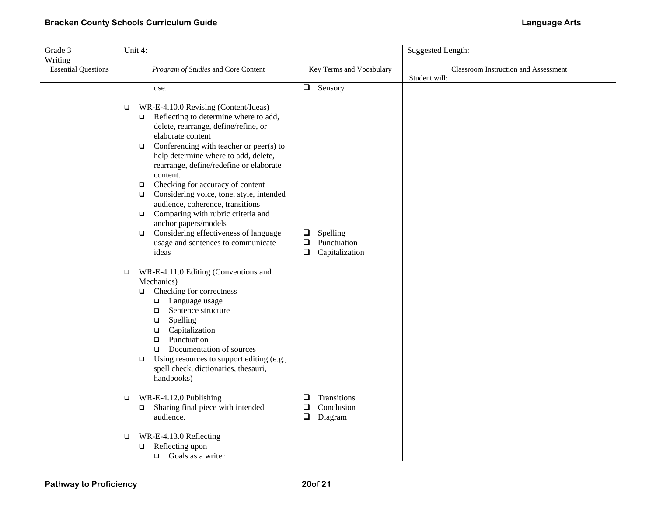| Grade 3                    | Unit 4:                                                                                                                                                                                                                                                                                                                                                                                                                                                                                                                                                                                                             |                                                                         | Suggested Length:                                     |
|----------------------------|---------------------------------------------------------------------------------------------------------------------------------------------------------------------------------------------------------------------------------------------------------------------------------------------------------------------------------------------------------------------------------------------------------------------------------------------------------------------------------------------------------------------------------------------------------------------------------------------------------------------|-------------------------------------------------------------------------|-------------------------------------------------------|
| Writing                    |                                                                                                                                                                                                                                                                                                                                                                                                                                                                                                                                                                                                                     |                                                                         |                                                       |
| <b>Essential Questions</b> | Program of Studies and Core Content                                                                                                                                                                                                                                                                                                                                                                                                                                                                                                                                                                                 | Key Terms and Vocabulary                                                | Classroom Instruction and Assessment<br>Student will: |
|                            | use.                                                                                                                                                                                                                                                                                                                                                                                                                                                                                                                                                                                                                | $\Box$ Sensory                                                          |                                                       |
|                            | WR-E-4.10.0 Revising (Content/Ideas)<br>□<br>$\Box$ Reflecting to determine where to add,<br>delete, rearrange, define/refine, or<br>elaborate content<br>$\Box$ Conferencing with teacher or peer(s) to<br>help determine where to add, delete,<br>rearrange, define/redefine or elaborate<br>content.<br>Checking for accuracy of content<br>$\Box$<br>Considering voice, tone, style, intended<br>$\Box$<br>audience, coherence, transitions<br>$\Box$ Comparing with rubric criteria and<br>anchor papers/models<br>$\Box$ Considering effectiveness of language<br>usage and sentences to communicate<br>ideas | Spelling<br>$\Box$<br>$\Box$<br>Punctuation<br>$\Box$<br>Capitalization |                                                       |
|                            | WR-E-4.11.0 Editing (Conventions and<br>$\Box$<br>Mechanics)<br>$\Box$ Checking for correctness<br>$\Box$ Language usage<br>Sentence structure<br>$\Box$<br>Spelling<br>$\Box$<br>Capitalization<br>$\Box$<br>Punctuation<br>$\Box$<br>Documentation of sources<br>$\Box$<br>Using resources to support editing (e.g.,<br>$\Box$<br>spell check, dictionaries, thesauri,<br>handbooks)                                                                                                                                                                                                                              |                                                                         |                                                       |
|                            | WR-E-4.12.0 Publishing<br>$\Box$<br>Sharing final piece with intended<br>$\Box$<br>audience.                                                                                                                                                                                                                                                                                                                                                                                                                                                                                                                        | Transitions<br>❏<br>$\Box$<br>Conclusion<br>$\Box$<br>Diagram           |                                                       |
|                            | WR-E-4.13.0 Reflecting<br>$\Box$<br>$\Box$ Reflecting upon<br>$\Box$ Goals as a writer                                                                                                                                                                                                                                                                                                                                                                                                                                                                                                                              |                                                                         |                                                       |